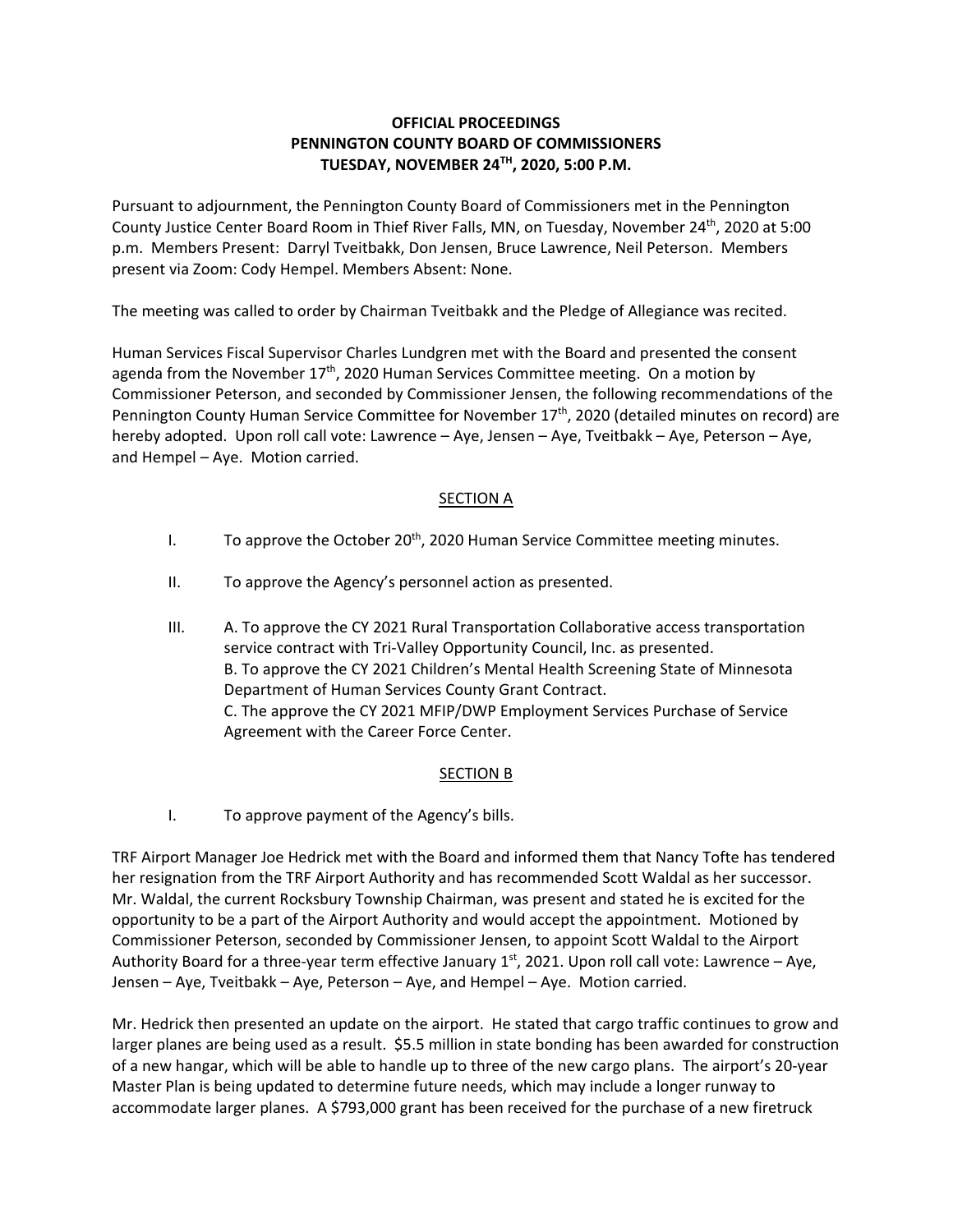## **OFFICIAL PROCEEDINGS PENNINGTON COUNTY BOARD OF COMMISSIONERS TUESDAY, NOVEMBER 24TH, 2020, 5:00 P.M.**

Pursuant to adjournment, the Pennington County Board of Commissioners met in the Pennington County Justice Center Board Room in Thief River Falls, MN, on Tuesday, November 24<sup>th</sup>, 2020 at 5:00 p.m. Members Present: Darryl Tveitbakk, Don Jensen, Bruce Lawrence, Neil Peterson. Members present via Zoom: Cody Hempel. Members Absent: None.

The meeting was called to order by Chairman Tveitbakk and the Pledge of Allegiance was recited.

Human Services Fiscal Supervisor Charles Lundgren met with the Board and presented the consent agenda from the November  $17<sup>th</sup>$ , 2020 Human Services Committee meeting. On a motion by Commissioner Peterson, and seconded by Commissioner Jensen, the following recommendations of the Pennington County Human Service Committee for November 17<sup>th</sup>, 2020 (detailed minutes on record) are hereby adopted. Upon roll call vote: Lawrence – Aye, Jensen – Aye, Tveitbakk – Aye, Peterson – Aye, and Hempel – Aye. Motion carried.

## SECTION A

- I. To approve the October 20<sup>th</sup>, 2020 Human Service Committee meeting minutes.
- II. To approve the Agency's personnel action as presented.
- III. A. To approve the CY 2021 Rural Transportation Collaborative access transportation service contract with Tri‐Valley Opportunity Council, Inc. as presented. B. To approve the CY 2021 Children's Mental Health Screening State of Minnesota Department of Human Services County Grant Contract. C. The approve the CY 2021 MFIP/DWP Employment Services Purchase of Service Agreement with the Career Force Center.

## SECTION B

I. To approve payment of the Agency's bills.

TRF Airport Manager Joe Hedrick met with the Board and informed them that Nancy Tofte has tendered her resignation from the TRF Airport Authority and has recommended Scott Waldal as her successor. Mr. Waldal, the current Rocksbury Township Chairman, was present and stated he is excited for the opportunity to be a part of the Airport Authority and would accept the appointment. Motioned by Commissioner Peterson, seconded by Commissioner Jensen, to appoint Scott Waldal to the Airport Authority Board for a three-year term effective January  $1<sup>st</sup>$ , 2021. Upon roll call vote: Lawrence – Aye, Jensen – Aye, Tveitbakk – Aye, Peterson – Aye, and Hempel – Aye. Motion carried.

Mr. Hedrick then presented an update on the airport. He stated that cargo traffic continues to grow and larger planes are being used as a result. \$5.5 million in state bonding has been awarded for construction of a new hangar, which will be able to handle up to three of the new cargo plans. The airport's 20‐year Master Plan is being updated to determine future needs, which may include a longer runway to accommodate larger planes. A \$793,000 grant has been received for the purchase of a new firetruck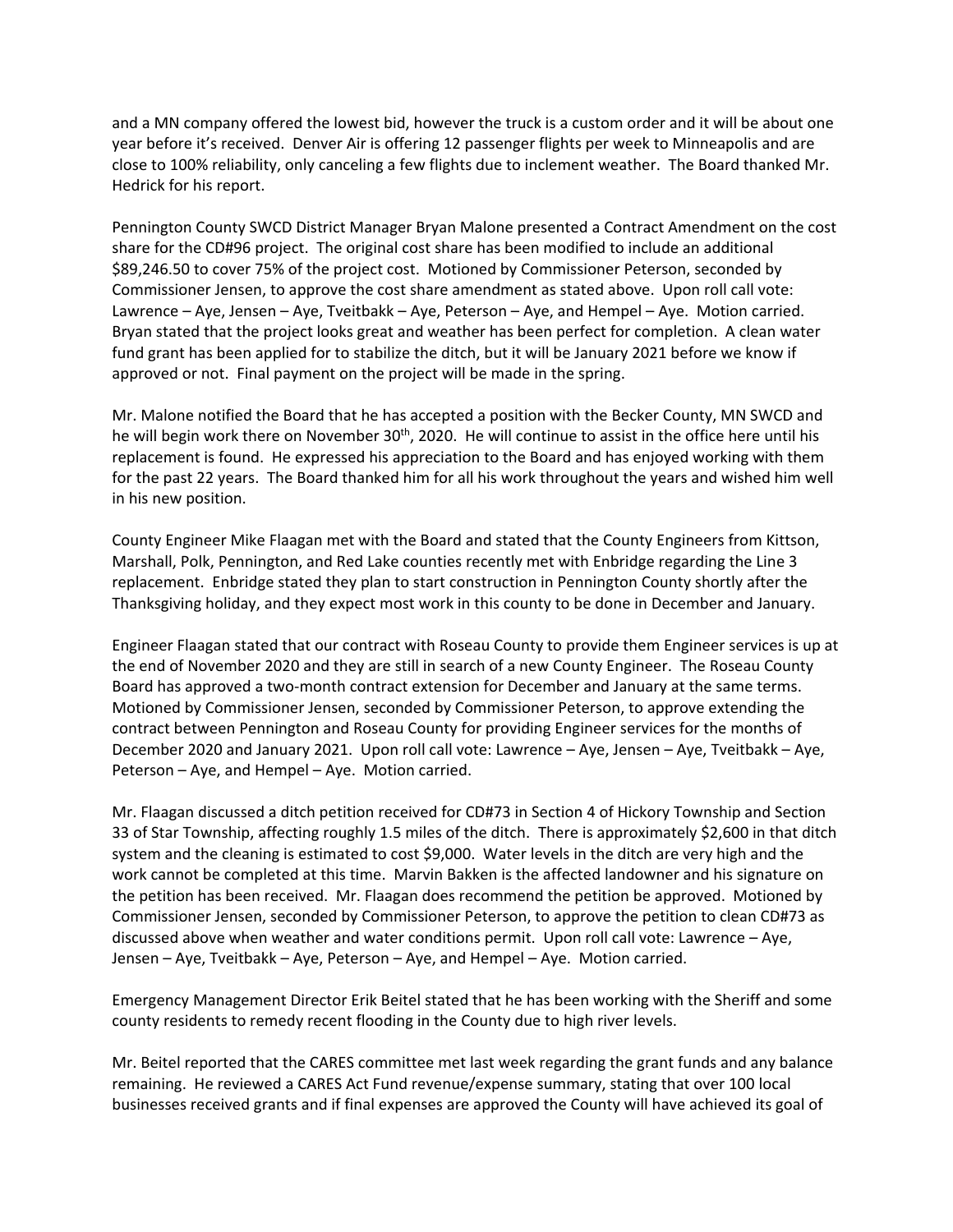and a MN company offered the lowest bid, however the truck is a custom order and it will be about one year before it's received. Denver Air is offering 12 passenger flights per week to Minneapolis and are close to 100% reliability, only canceling a few flights due to inclement weather. The Board thanked Mr. Hedrick for his report.

Pennington County SWCD District Manager Bryan Malone presented a Contract Amendment on the cost share for the CD#96 project. The original cost share has been modified to include an additional \$89,246.50 to cover 75% of the project cost. Motioned by Commissioner Peterson, seconded by Commissioner Jensen, to approve the cost share amendment as stated above. Upon roll call vote: Lawrence – Aye, Jensen – Aye, Tveitbakk – Aye, Peterson – Aye, and Hempel – Aye. Motion carried. Bryan stated that the project looks great and weather has been perfect for completion. A clean water fund grant has been applied for to stabilize the ditch, but it will be January 2021 before we know if approved or not. Final payment on the project will be made in the spring.

Mr. Malone notified the Board that he has accepted a position with the Becker County, MN SWCD and he will begin work there on November 30<sup>th</sup>, 2020. He will continue to assist in the office here until his replacement is found. He expressed his appreciation to the Board and has enjoyed working with them for the past 22 years. The Board thanked him for all his work throughout the years and wished him well in his new position.

County Engineer Mike Flaagan met with the Board and stated that the County Engineers from Kittson, Marshall, Polk, Pennington, and Red Lake counties recently met with Enbridge regarding the Line 3 replacement. Enbridge stated they plan to start construction in Pennington County shortly after the Thanksgiving holiday, and they expect most work in this county to be done in December and January.

Engineer Flaagan stated that our contract with Roseau County to provide them Engineer services is up at the end of November 2020 and they are still in search of a new County Engineer. The Roseau County Board has approved a two‐month contract extension for December and January at the same terms. Motioned by Commissioner Jensen, seconded by Commissioner Peterson, to approve extending the contract between Pennington and Roseau County for providing Engineer services for the months of December 2020 and January 2021. Upon roll call vote: Lawrence – Aye, Jensen – Aye, Tveitbakk – Aye, Peterson – Aye, and Hempel – Aye. Motion carried.

Mr. Flaagan discussed a ditch petition received for CD#73 in Section 4 of Hickory Township and Section 33 of Star Township, affecting roughly 1.5 miles of the ditch. There is approximately \$2,600 in that ditch system and the cleaning is estimated to cost \$9,000. Water levels in the ditch are very high and the work cannot be completed at this time. Marvin Bakken is the affected landowner and his signature on the petition has been received. Mr. Flaagan does recommend the petition be approved. Motioned by Commissioner Jensen, seconded by Commissioner Peterson, to approve the petition to clean CD#73 as discussed above when weather and water conditions permit. Upon roll call vote: Lawrence – Aye, Jensen – Aye, Tveitbakk – Aye, Peterson – Aye, and Hempel – Aye. Motion carried.

Emergency Management Director Erik Beitel stated that he has been working with the Sheriff and some county residents to remedy recent flooding in the County due to high river levels.

Mr. Beitel reported that the CARES committee met last week regarding the grant funds and any balance remaining. He reviewed a CARES Act Fund revenue/expense summary, stating that over 100 local businesses received grants and if final expenses are approved the County will have achieved its goal of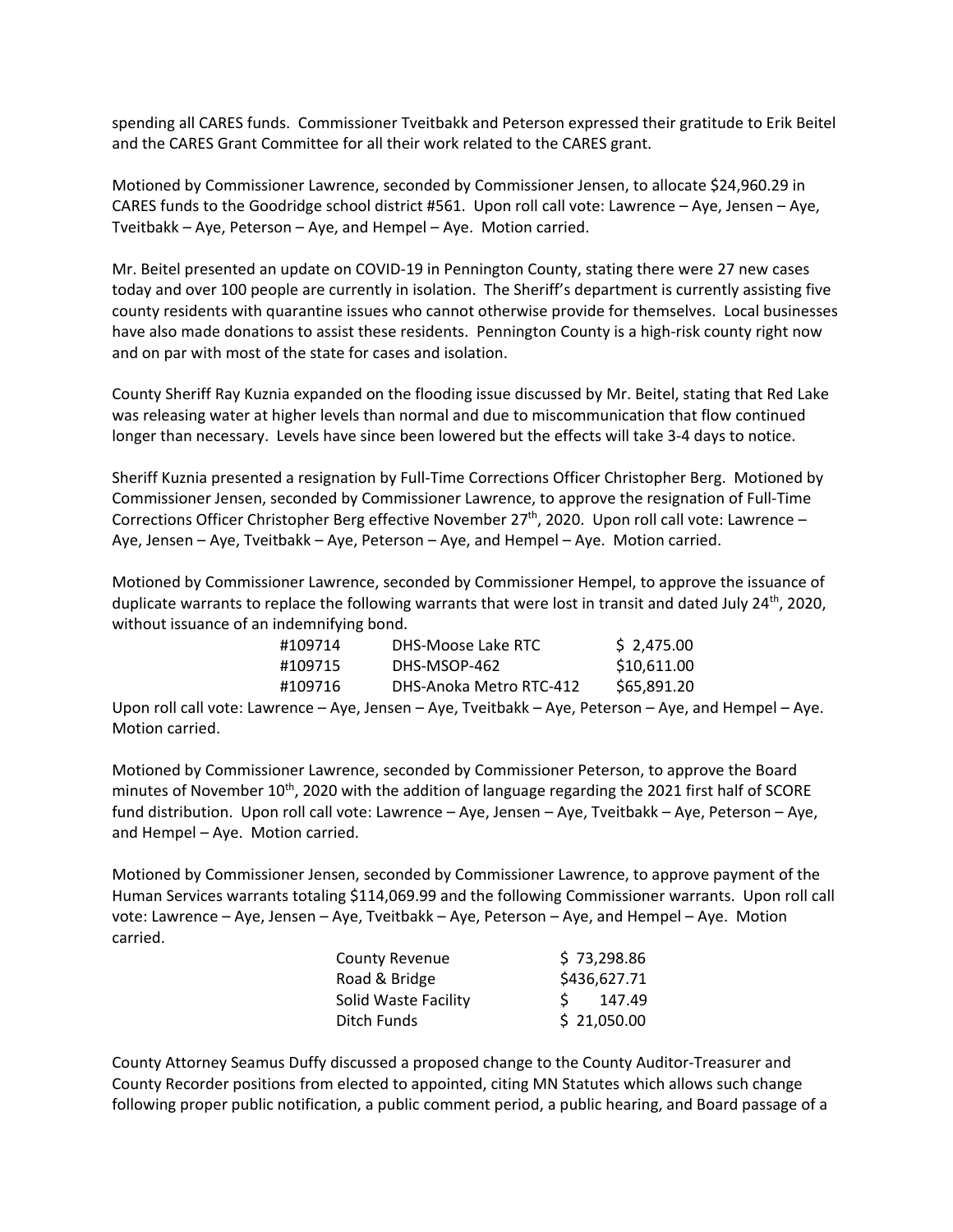spending all CARES funds. Commissioner Tveitbakk and Peterson expressed their gratitude to Erik Beitel and the CARES Grant Committee for all their work related to the CARES grant.

Motioned by Commissioner Lawrence, seconded by Commissioner Jensen, to allocate \$24,960.29 in CARES funds to the Goodridge school district #561. Upon roll call vote: Lawrence – Aye, Jensen – Aye, Tveitbakk – Aye, Peterson – Aye, and Hempel – Aye. Motion carried.

Mr. Beitel presented an update on COVID‐19 in Pennington County, stating there were 27 new cases today and over 100 people are currently in isolation. The Sheriff's department is currently assisting five county residents with quarantine issues who cannot otherwise provide for themselves. Local businesses have also made donations to assist these residents. Pennington County is a high-risk county right now and on par with most of the state for cases and isolation.

County Sheriff Ray Kuznia expanded on the flooding issue discussed by Mr. Beitel, stating that Red Lake was releasing water at higher levels than normal and due to miscommunication that flow continued longer than necessary. Levels have since been lowered but the effects will take 3‐4 days to notice.

Sheriff Kuznia presented a resignation by Full‐Time Corrections Officer Christopher Berg. Motioned by Commissioner Jensen, seconded by Commissioner Lawrence, to approve the resignation of Full‐Time Corrections Officer Christopher Berg effective November 27<sup>th</sup>, 2020. Upon roll call vote: Lawrence -Aye, Jensen – Aye, Tveitbakk – Aye, Peterson – Aye, and Hempel – Aye. Motion carried.

Motioned by Commissioner Lawrence, seconded by Commissioner Hempel, to approve the issuance of duplicate warrants to replace the following warrants that were lost in transit and dated July 24<sup>th</sup>, 2020, without issuance of an indemnifying bond.

| #109714 | DHS-Moose Lake RTC      | \$2.475.00  |
|---------|-------------------------|-------------|
| #109715 | DHS-MSOP-462            | \$10.611.00 |
| #109716 | DHS-Anoka Metro RTC-412 | \$65.891.20 |

Upon roll call vote: Lawrence – Aye, Jensen – Aye, Tveitbakk – Aye, Peterson – Aye, and Hempel – Aye. Motion carried.

Motioned by Commissioner Lawrence, seconded by Commissioner Peterson, to approve the Board minutes of November  $10^{th}$ , 2020 with the addition of language regarding the 2021 first half of SCORE fund distribution. Upon roll call vote: Lawrence – Aye, Jensen – Aye, Tveitbakk – Aye, Peterson – Aye, and Hempel – Aye. Motion carried.

Motioned by Commissioner Jensen, seconded by Commissioner Lawrence, to approve payment of the Human Services warrants totaling \$114,069.99 and the following Commissioner warrants. Upon roll call vote: Lawrence – Aye, Jensen – Aye, Tveitbakk – Aye, Peterson – Aye, and Hempel – Aye. Motion carried.

| <b>County Revenue</b> | \$73,298.86  |
|-----------------------|--------------|
| Road & Bridge         | \$436,627.71 |
| Solid Waste Facility  | 147.49       |
| Ditch Funds           | \$21,050.00  |

County Attorney Seamus Duffy discussed a proposed change to the County Auditor‐Treasurer and County Recorder positions from elected to appointed, citing MN Statutes which allows such change following proper public notification, a public comment period, a public hearing, and Board passage of a